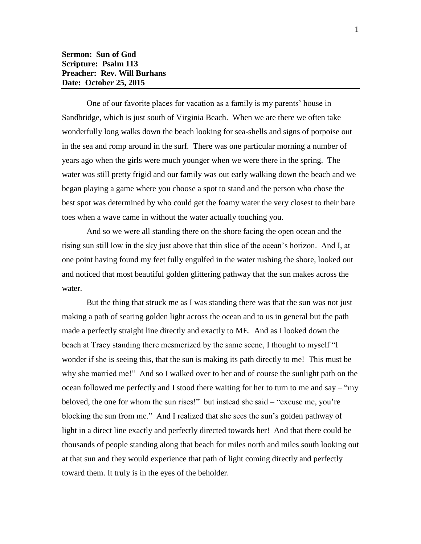One of our favorite places for vacation as a family is my parents' house in Sandbridge, which is just south of Virginia Beach. When we are there we often take wonderfully long walks down the beach looking for sea-shells and signs of porpoise out in the sea and romp around in the surf. There was one particular morning a number of years ago when the girls were much younger when we were there in the spring. The water was still pretty frigid and our family was out early walking down the beach and we began playing a game where you choose a spot to stand and the person who chose the best spot was determined by who could get the foamy water the very closest to their bare toes when a wave came in without the water actually touching you.

And so we were all standing there on the shore facing the open ocean and the rising sun still low in the sky just above that thin slice of the ocean's horizon. And I, at one point having found my feet fully engulfed in the water rushing the shore, looked out and noticed that most beautiful golden glittering pathway that the sun makes across the water.

But the thing that struck me as I was standing there was that the sun was not just making a path of searing golden light across the ocean and to us in general but the path made a perfectly straight line directly and exactly to ME. And as I looked down the beach at Tracy standing there mesmerized by the same scene, I thought to myself "I wonder if she is seeing this, that the sun is making its path directly to me! This must be why she married me!" And so I walked over to her and of course the sunlight path on the ocean followed me perfectly and I stood there waiting for her to turn to me and say – "my beloved, the one for whom the sun rises!" but instead she said – "excuse me, you're blocking the sun from me." And I realized that she sees the sun's golden pathway of light in a direct line exactly and perfectly directed towards her! And that there could be thousands of people standing along that beach for miles north and miles south looking out at that sun and they would experience that path of light coming directly and perfectly toward them. It truly is in the eyes of the beholder.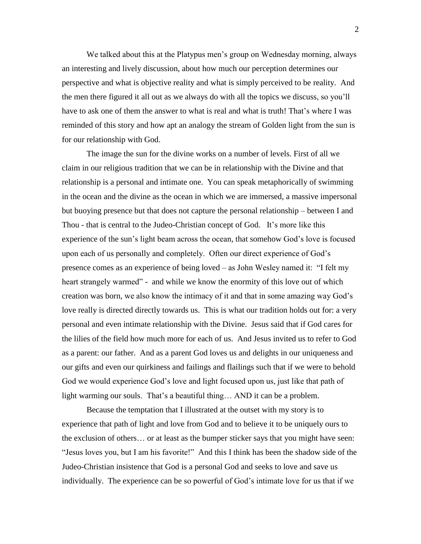We talked about this at the Platypus men's group on Wednesday morning, always an interesting and lively discussion, about how much our perception determines our perspective and what is objective reality and what is simply perceived to be reality. And the men there figured it all out as we always do with all the topics we discuss, so you'll have to ask one of them the answer to what is real and what is truth! That's where I was reminded of this story and how apt an analogy the stream of Golden light from the sun is for our relationship with God.

The image the sun for the divine works on a number of levels. First of all we claim in our religious tradition that we can be in relationship with the Divine and that relationship is a personal and intimate one. You can speak metaphorically of swimming in the ocean and the divine as the ocean in which we are immersed, a massive impersonal but buoying presence but that does not capture the personal relationship – between I and Thou - that is central to the Judeo-Christian concept of God. It's more like this experience of the sun's light beam across the ocean, that somehow God's love is focused upon each of us personally and completely. Often our direct experience of God's presence comes as an experience of being loved – as John Wesley named it: "I felt my heart strangely warmed" - and while we know the enormity of this love out of which creation was born, we also know the intimacy of it and that in some amazing way God's love really is directed directly towards us. This is what our tradition holds out for: a very personal and even intimate relationship with the Divine. Jesus said that if God cares for the lilies of the field how much more for each of us. And Jesus invited us to refer to God as a parent: our father. And as a parent God loves us and delights in our uniqueness and our gifts and even our quirkiness and failings and flailings such that if we were to behold God we would experience God's love and light focused upon us, just like that path of light warming our souls. That's a beautiful thing… AND it can be a problem.

Because the temptation that I illustrated at the outset with my story is to experience that path of light and love from God and to believe it to be uniquely ours to the exclusion of others… or at least as the bumper sticker says that you might have seen: "Jesus loves you, but I am his favorite!" And this I think has been the shadow side of the Judeo-Christian insistence that God is a personal God and seeks to love and save us individually. The experience can be so powerful of God's intimate love for us that if we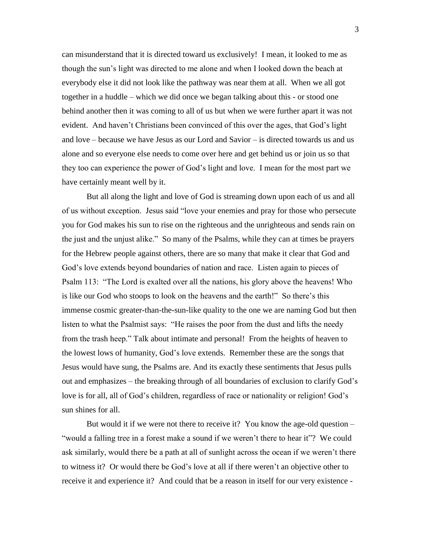can misunderstand that it is directed toward us exclusively! I mean, it looked to me as though the sun's light was directed to me alone and when I looked down the beach at everybody else it did not look like the pathway was near them at all. When we all got together in a huddle – which we did once we began talking about this - or stood one behind another then it was coming to all of us but when we were further apart it was not evident. And haven't Christians been convinced of this over the ages, that God's light and love – because we have Jesus as our Lord and Savior – is directed towards us and us alone and so everyone else needs to come over here and get behind us or join us so that they too can experience the power of God's light and love. I mean for the most part we have certainly meant well by it.

But all along the light and love of God is streaming down upon each of us and all of us without exception. Jesus said "love your enemies and pray for those who persecute you for God makes his sun to rise on the righteous and the unrighteous and sends rain on the just and the unjust alike." So many of the Psalms, while they can at times be prayers for the Hebrew people against others, there are so many that make it clear that God and God's love extends beyond boundaries of nation and race. Listen again to pieces of Psalm 113: "The Lord is exalted over all the nations, his glory above the heavens! Who is like our God who stoops to look on the heavens and the earth!" So there's this immense cosmic greater-than-the-sun-like quality to the one we are naming God but then listen to what the Psalmist says: "He raises the poor from the dust and lifts the needy from the trash heep." Talk about intimate and personal! From the heights of heaven to the lowest lows of humanity, God's love extends. Remember these are the songs that Jesus would have sung, the Psalms are. And its exactly these sentiments that Jesus pulls out and emphasizes – the breaking through of all boundaries of exclusion to clarify God's love is for all, all of God's children, regardless of race or nationality or religion! God's sun shines for all.

But would it if we were not there to receive it? You know the age-old question – "would a falling tree in a forest make a sound if we weren't there to hear it"? We could ask similarly, would there be a path at all of sunlight across the ocean if we weren't there to witness it? Or would there be God's love at all if there weren't an objective other to receive it and experience it? And could that be a reason in itself for our very existence -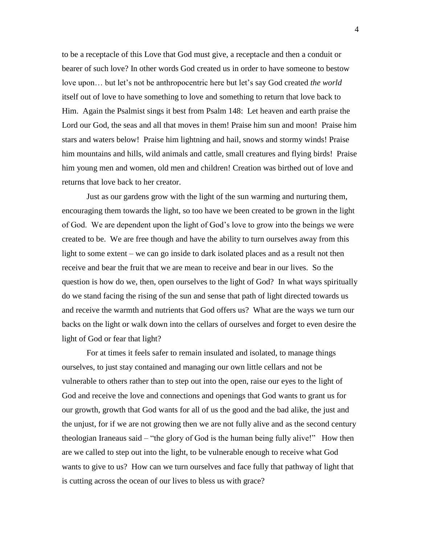to be a receptacle of this Love that God must give, a receptacle and then a conduit or bearer of such love? In other words God created us in order to have someone to bestow love upon… but let's not be anthropocentric here but let's say God created *the world* itself out of love to have something to love and something to return that love back to Him. Again the Psalmist sings it best from Psalm 148: Let heaven and earth praise the Lord our God, the seas and all that moves in them! Praise him sun and moon! Praise him stars and waters below! Praise him lightning and hail, snows and stormy winds! Praise him mountains and hills, wild animals and cattle, small creatures and flying birds! Praise him young men and women, old men and children! Creation was birthed out of love and returns that love back to her creator.

Just as our gardens grow with the light of the sun warming and nurturing them, encouraging them towards the light, so too have we been created to be grown in the light of God. We are dependent upon the light of God's love to grow into the beings we were created to be. We are free though and have the ability to turn ourselves away from this light to some extent – we can go inside to dark isolated places and as a result not then receive and bear the fruit that we are mean to receive and bear in our lives. So the question is how do we, then, open ourselves to the light of God? In what ways spiritually do we stand facing the rising of the sun and sense that path of light directed towards us and receive the warmth and nutrients that God offers us? What are the ways we turn our backs on the light or walk down into the cellars of ourselves and forget to even desire the light of God or fear that light?

For at times it feels safer to remain insulated and isolated, to manage things ourselves, to just stay contained and managing our own little cellars and not be vulnerable to others rather than to step out into the open, raise our eyes to the light of God and receive the love and connections and openings that God wants to grant us for our growth, growth that God wants for all of us the good and the bad alike, the just and the unjust, for if we are not growing then we are not fully alive and as the second century theologian Iraneaus said – "the glory of God is the human being fully alive!" How then are we called to step out into the light, to be vulnerable enough to receive what God wants to give to us? How can we turn ourselves and face fully that pathway of light that is cutting across the ocean of our lives to bless us with grace?